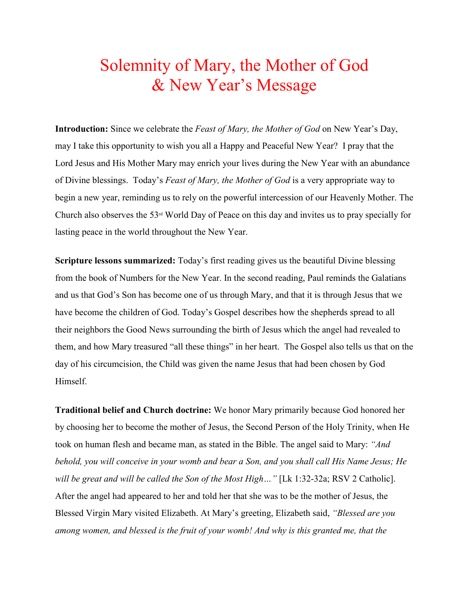## Solemnity of Mary, the Mother of God & New Year's Message

**Introduction:** Since we celebrate the *Feast of Mary, the Mother of God* on New Year's Day, may I take this opportunity to wish you all a Happy and Peaceful New Year? I pray that the Lord Jesus and His Mother Mary may enrich your lives during the New Year with an abundance of Divine blessings. Today's *Feast of Mary, the Mother of God* is a very appropriate way to begin a new year, reminding us to rely on the powerful intercession of our Heavenly Mother. The Church also observes the 53rd World Day of Peace on this day and invites us to pray specially for lasting peace in the world throughout the New Year.

**Scripture lessons summarized:** Today's first reading gives us the beautiful Divine blessing from the book of Numbers for the New Year. In the second reading, Paul reminds the Galatians and us that God's Son has become one of us through Mary, and that it is through Jesus that we have become the children of God. Today's Gospel describes how the shepherds spread to all their neighbors the Good News surrounding the birth of Jesus which the angel had revealed to them, and how Mary treasured "all these things" in her heart. The Gospel also tells us that on the day of his circumcision, the Child was given the name Jesus that had been chosen by God Himself.

**Traditional belief and Church doctrine:** We honor Mary primarily because God honored her by choosing her to become the mother of Jesus, the Second Person of the Holy Trinity, when He took on human flesh and became man, as stated in the Bible. The angel said to Mary: *"And behold, you will conceive in your womb and bear a Son, and you shall call His Name Jesus; He will be great and will be called the Son of the Most High…"* [Lk 1:32-32a; RSV 2 Catholic]. After the angel had appeared to her and told her that she was to be the mother of Jesus, the Blessed Virgin Mary visited Elizabeth. At Mary's greeting, Elizabeth said, *"Blessed are you among women, and blessed is the fruit of your womb! And why is this granted me, that the*